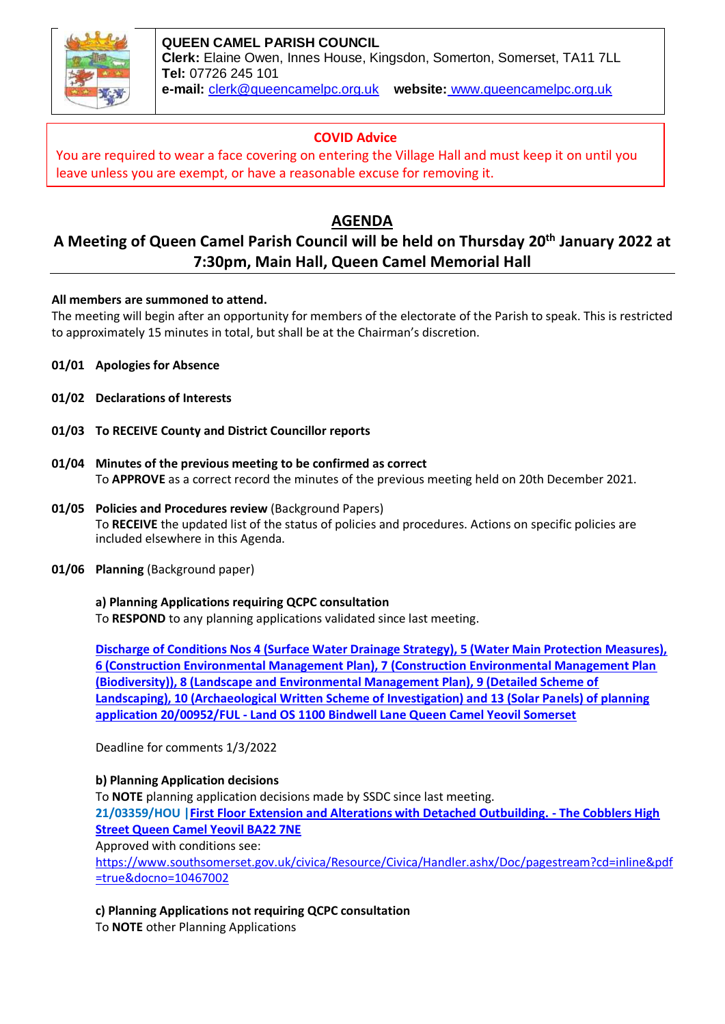

**QUEEN CAMEL PARISH COUNCIL Clerk:** Elaine Owen, Innes House, Kingsdon, Somerton, Somerset, TA11 7LL **Tel:** 07726 245 101 **e-mail:** clerk@queencamelpc.org.uk **website:** [www.queencamelpc.org.uk](http://www.queencamelpc.org.uk/)

# **COVID Advice**

You are required to wear a face covering on entering the Village Hall and must keep it on until you leave unless you are exempt, or have a reasonable excuse for removing it.

# **AGENDA**

# **A Meeting of Queen Camel Parish Council will be held on Thursday 20th January 2022 at 7:30pm, Main Hall, Queen Camel Memorial Hall**

**All members are summoned to attend.**

The meeting will begin after an opportunity for members of the electorate of the Parish to speak. This is restricted to approximately 15 minutes in total, but shall be at the Chairman's discretion.

- **01/01 Apologies for Absence**
- **01/02 Declarations of Interests**
- **01/03 To RECEIVE County and District Councillor reports**
- **01/04 Minutes of the previous meeting to be confirmed as correct** To **APPROVE** as a correct record the minutes of the previous meeting held on 20th December 2021.
- **01/05 Policies and Procedures review** (Background Papers) To **RECEIVE** the updated list of the status of policies and procedures. Actions on specific policies are included elsewhere in this Agenda.
- **01/06 Planning** (Background paper)

# **a) Planning Applications requiring QCPC consultation**

To **RESPOND** to any planning applications validated since last meeting.

**[Discharge of Conditions Nos 4 \(Surface Water Drainage Strategy\), 5 \(Water Main Protection Measures\),](https://publicaccess.southsomerset.gov.uk/online-applications/centralDistribution.do?caseType=Application&keyVal=R4KODUOWKFU00)  [6 \(Construction Environmental Management Plan\), 7 \(Construction Environmental Management Plan](https://publicaccess.southsomerset.gov.uk/online-applications/centralDistribution.do?caseType=Application&keyVal=R4KODUOWKFU00)  [\(Biodiversity\)\), 8 \(Landscape and Environmental Management Plan\), 9 \(Detailed Scheme of](https://publicaccess.southsomerset.gov.uk/online-applications/centralDistribution.do?caseType=Application&keyVal=R4KODUOWKFU00)  [Landscaping\), 10 \(Archaeological Written Scheme of Investigation\) and 13 \(Solar Panels\) of planning](https://publicaccess.southsomerset.gov.uk/online-applications/centralDistribution.do?caseType=Application&keyVal=R4KODUOWKFU00)  application 20/00952/FUL - [Land OS 1100 Bindwell Lane Queen Camel Yeovil Somerset](https://publicaccess.southsomerset.gov.uk/online-applications/centralDistribution.do?caseType=Application&keyVal=R4KODUOWKFU00)**

Deadline for comments 1/3/2022

# **b) Planning Application decisions**

To **NOTE** planning application decisions made by SSDC since last meeting.

**21/03359/HOU [|First Floor Extension and Alterations with Detached Outbuilding. -](https://publicaccess.southsomerset.gov.uk/online-applications/centralDistribution.do?caseType=Application&keyVal=R2B49IOWJOR00) The Cobblers High [Street Queen Camel Yeovil BA22 7NE](https://publicaccess.southsomerset.gov.uk/online-applications/centralDistribution.do?caseType=Application&keyVal=R2B49IOWJOR00)**

Approved with conditions see:

[https://www.southsomerset.gov.uk/civica/Resource/Civica/Handler.ashx/Doc/pagestream?cd=inline&pdf](https://www.southsomerset.gov.uk/civica/Resource/Civica/Handler.ashx/Doc/pagestream?cd=inline&pdf=true&docno=10467002) [=true&docno=10467002](https://www.southsomerset.gov.uk/civica/Resource/Civica/Handler.ashx/Doc/pagestream?cd=inline&pdf=true&docno=10467002)

**c) Planning Applications not requiring QCPC consultation**

To **NOTE** other Planning Applications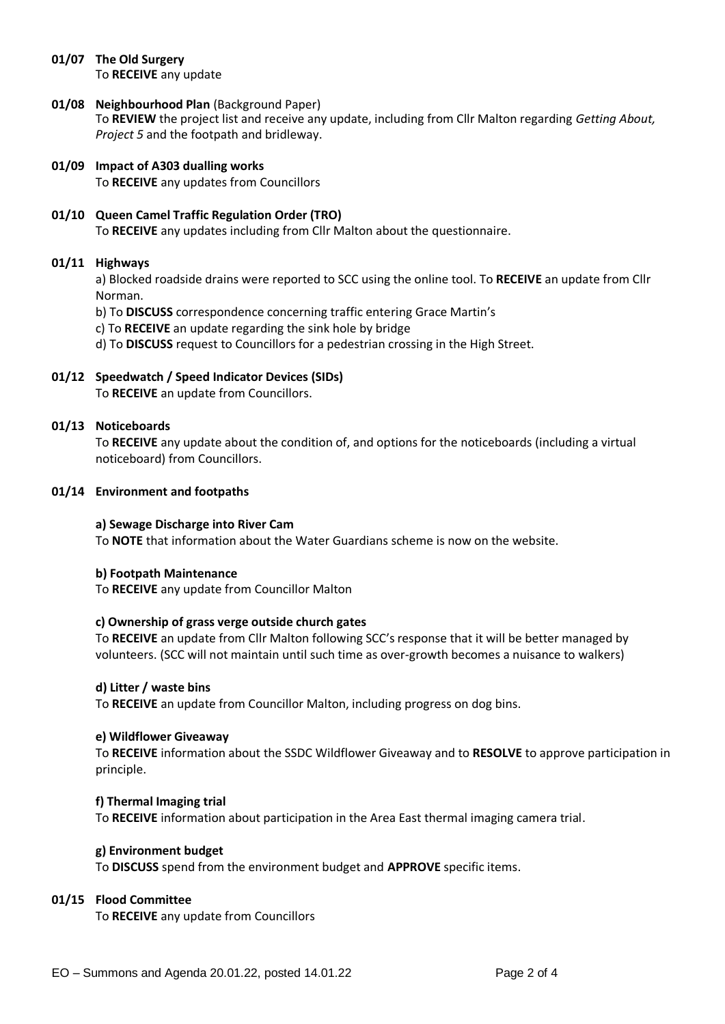#### **01/07 The Old Surgery** To **RECEIVE** any update

#### **01/08 Neighbourhood Plan** (Background Paper) To **REVIEW** the project list and receive any update, including from Cllr Malton regarding *Getting About, Project 5* and the footpath and bridleway.

**01/09 Impact of A303 dualling works** To **RECEIVE** any updates from Councillors

# **01/10 Queen Camel Traffic Regulation Order (TRO)**  To **RECEIVE** any updates including from Cllr Malton about the questionnaire.

# **01/11 Highways**

a) Blocked roadside drains were reported to SCC using the online tool. To **RECEIVE** an update from Cllr Norman.

b) To **DISCUSS** correspondence concerning traffic entering Grace Martin's

c) To **RECEIVE** an update regarding the sink hole by bridge

d) To **DISCUSS** request to Councillors for a pedestrian crossing in the High Street.

**01/12 Speedwatch / Speed Indicator Devices (SIDs)** To **RECEIVE** an update from Councillors.

# **01/13 Noticeboards**

To **RECEIVE** any update about the condition of, and options for the noticeboards (including a virtual noticeboard) from Councillors.

#### **01/14 Environment and footpaths**

#### **a) Sewage Discharge into River Cam**

To **NOTE** that information about the Water Guardians scheme is now on the website.

#### **b) Footpath Maintenance**

To **RECEIVE** any update from Councillor Malton

#### **c) Ownership of grass verge outside church gates**

To **RECEIVE** an update from Cllr Malton following SCC's response that it will be better managed by volunteers. (SCC will not maintain until such time as over-growth becomes a nuisance to walkers)

#### **d) Litter / waste bins**

To **RECEIVE** an update from Councillor Malton, including progress on dog bins.

#### **e) Wildflower Giveaway**

To **RECEIVE** information about the SSDC Wildflower Giveaway and to **RESOLVE** to approve participation in principle.

#### **f) Thermal Imaging trial**

To **RECEIVE** information about participation in the Area East thermal imaging camera trial.

#### **g) Environment budget**

To **DISCUSS** spend from the environment budget and **APPROVE** specific items.

#### **01/15 Flood Committee**

To **RECEIVE** any update from Councillors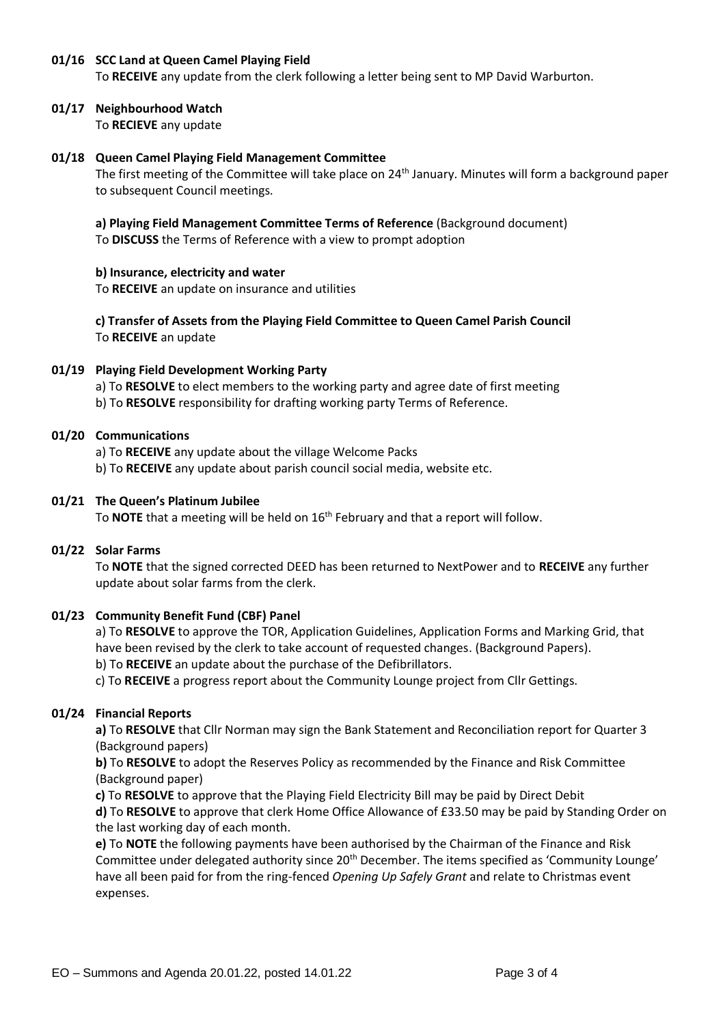## **01/16 SCC Land at Queen Camel Playing Field**

To **RECEIVE** any update from the clerk following a letter being sent to MP David Warburton.

## **01/17 Neighbourhood Watch**

To **RECIEVE** any update

### **01/18 Queen Camel Playing Field Management Committee**

The first meeting of the Committee will take place on  $24<sup>th</sup>$  January. Minutes will form a background paper to subsequent Council meetings.

**a) Playing Field Management Committee Terms of Reference** (Background document)

To **DISCUSS** the Terms of Reference with a view to prompt adoption

#### **b) Insurance, electricity and water**

To **RECEIVE** an update on insurance and utilities

**c) Transfer of Assets from the Playing Field Committee to Queen Camel Parish Council** To **RECEIVE** an update

# **01/19 Playing Field Development Working Party**

a) To **RESOLVE** to elect members to the working party and agree date of first meeting b) To **RESOLVE** responsibility for drafting working party Terms of Reference.

#### **01/20 Communications**

a) To **RECEIVE** any update about the village Welcome Packs

b) To **RECEIVE** any update about parish council social media, website etc.

#### **01/21 The Queen's Platinum Jubilee**

To **NOTE** that a meeting will be held on 16th February and that a report will follow.

#### **01/22 Solar Farms**

To **NOTE** that the signed corrected DEED has been returned to NextPower and to **RECEIVE** any further update about solar farms from the clerk.

#### **01/23 Community Benefit Fund (CBF) Panel**

a) To **RESOLVE** to approve the TOR, Application Guidelines, Application Forms and Marking Grid, that have been revised by the clerk to take account of requested changes. (Background Papers).

b) To **RECEIVE** an update about the purchase of the Defibrillators.

c) To **RECEIVE** a progress report about the Community Lounge project from Cllr Gettings.

#### **01/24 Financial Reports**

**a)** To **RESOLVE** that Cllr Norman may sign the Bank Statement and Reconciliation report for Quarter 3 (Background papers)

**b)** To **RESOLVE** to adopt the Reserves Policy as recommended by the Finance and Risk Committee (Background paper)

**c)** To **RESOLVE** to approve that the Playing Field Electricity Bill may be paid by Direct Debit **d)** To **RESOLVE** to approve that clerk Home Office Allowance of £33.50 may be paid by Standing Order on

the last working day of each month.

**e)** To **NOTE** the following payments have been authorised by the Chairman of the Finance and Risk Committee under delegated authority since 20<sup>th</sup> December. The items specified as 'Community Lounge' have all been paid for from the ring-fenced *Opening Up Safely Grant* and relate to Christmas event expenses.